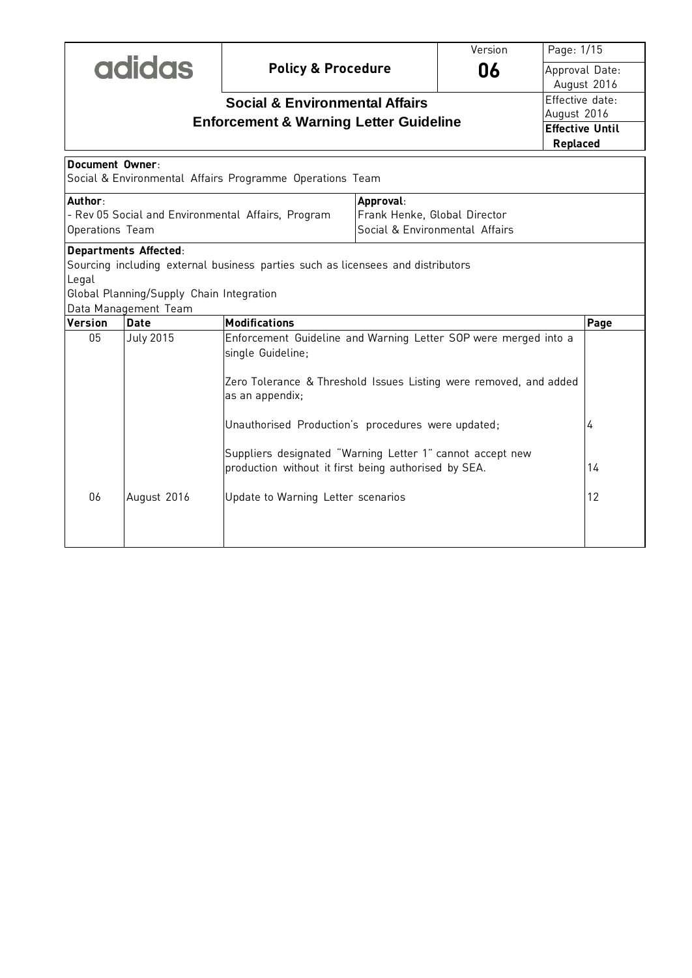|                                                                  |                                                                                           |                                                                                                                                                                              |                                                                | Version | Page: 1/15                         |      |
|------------------------------------------------------------------|-------------------------------------------------------------------------------------------|------------------------------------------------------------------------------------------------------------------------------------------------------------------------------|----------------------------------------------------------------|---------|------------------------------------|------|
| <b>adidas</b>                                                    |                                                                                           | <b>Policy &amp; Procedure</b>                                                                                                                                                |                                                                | 06      | Approval Date:<br>August 2016      |      |
|                                                                  |                                                                                           | <b>Social &amp; Environmental Affairs</b>                                                                                                                                    |                                                                |         | Effective date:                    |      |
| August 2016<br><b>Enforcement &amp; Warning Letter Guideline</b> |                                                                                           |                                                                                                                                                                              |                                                                |         |                                    |      |
|                                                                  |                                                                                           |                                                                                                                                                                              |                                                                |         | <b>Effective Until</b><br>Replaced |      |
| Document Owner                                                   |                                                                                           | Social & Environmental Affairs Programme Operations Team                                                                                                                     |                                                                |         |                                    |      |
|                                                                  |                                                                                           |                                                                                                                                                                              |                                                                |         |                                    |      |
| Author:                                                          |                                                                                           |                                                                                                                                                                              | Approval:                                                      |         |                                    |      |
|                                                                  |                                                                                           | - Rev 05 Social and Environmental Affairs, Program                                                                                                                           | Frank Henke, Global Director<br>Social & Environmental Affairs |         |                                    |      |
| Operations Team                                                  |                                                                                           |                                                                                                                                                                              |                                                                |         |                                    |      |
| Legal                                                            | Departments Affected:<br>Global Planning/Supply Chain Integration<br>Data Management Team | Sourcing including external business parties such as licensees and distributors                                                                                              |                                                                |         |                                    |      |
| Version                                                          | <b>Date</b>                                                                               | <b>Modifications</b>                                                                                                                                                         |                                                                |         |                                    | Page |
| 05                                                               | <b>July 2015</b>                                                                          | Enforcement Guideline and Warning Letter SOP were merged into a<br>single Guideline;<br>Zero Tolerance & Threshold Issues Listing were removed, and added<br>as an appendix; |                                                                |         |                                    |      |
| Unauthorised Production's procedures were updated;               |                                                                                           |                                                                                                                                                                              |                                                                |         | 4                                  |      |
|                                                                  |                                                                                           | Suppliers designated "Warning Letter 1" cannot accept new<br>production without it first being authorised by SEA.<br>14                                                      |                                                                |         |                                    |      |
| 06                                                               | August 2016                                                                               | Update to Warning Letter scenarios                                                                                                                                           |                                                                |         |                                    | 12   |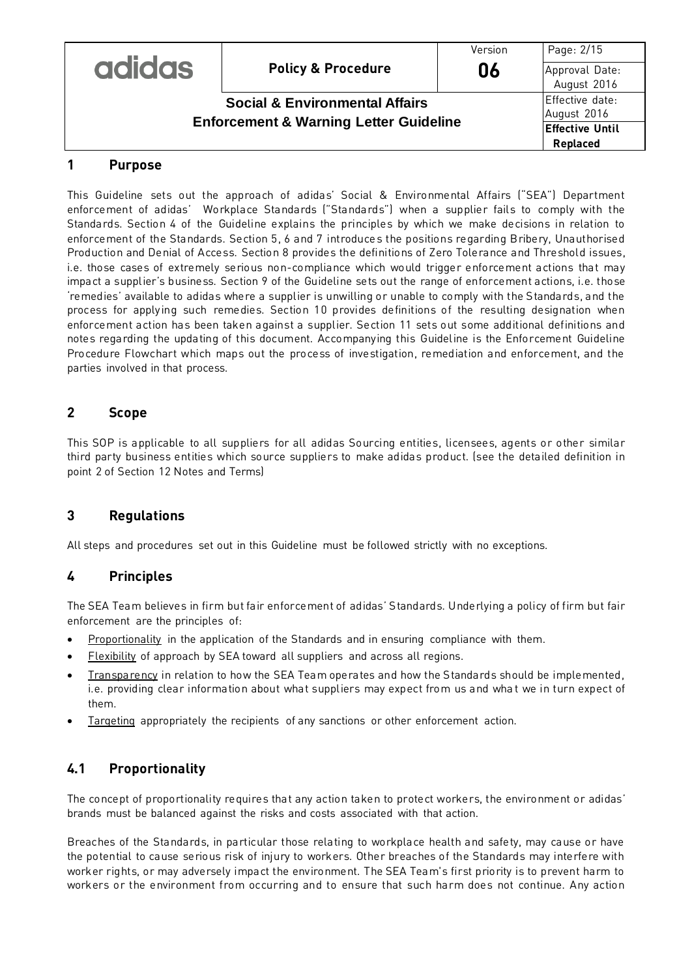|                                                   |                               | Version | Page: 2/15                     |
|---------------------------------------------------|-------------------------------|---------|--------------------------------|
| <b>adidas</b>                                     | <b>Policy &amp; Procedure</b> | 06      | Approval Date:<br>August 2016  |
| <b>Social &amp; Environmental Affairs</b>         |                               |         | Effective date:<br>August 2016 |
| <b>Enforcement &amp; Warning Letter Guideline</b> |                               |         | <b>Effective Until</b>         |
|                                                   |                               |         | Replaced                       |

#### **1 Purpose**

This Guideline sets out the approach of adidas' Social & Environmental Affairs ("SEA") Department enforcement of adidas' Workplace Standards ("Standards") when a supplier fails to comply with the Standards. Section 4 of the Guideline explains the principles by which we make decisions in relation to enforcement of the Standards. Section 5, 6 and 7 introduces the positions regarding Bribery, Unauthorised Production and Denial of Access. Section 8 provides the definitions of Zero Tolerance and Threshold issues, i.e. those cases of extremely serious non-compliance which would trigger enforcement actions that may impact a supplier's business. Section 9 of the Guideline sets out the range of enforcement actions, i.e. those 'remedies' available to adidas where a supplier is unwilling or unable to comply with the Standards, and the process for apply ing such remedies. Section 10 provides definitions of the resulting designation when enforcement action has been taken against a supplier. Section 11 sets out some additional definitions and notes regarding the updating of this document. Accompanying this Guideline is the Enforcement Guideline Procedure Flowchart which maps out the process of investigation, remediation and enforcement, and the parties involved in that process.

#### **2 Scope**

This SOP is applicable to all suppliers for all adidas Sourcing entities, licensees, agents or other similar third party business entities which source suppliers to make adidas product. (see the detailed definition in point 2 of Section 12 Notes and Terms)

#### **3 Regulations**

All steps and procedures set out in this Guideline must be followed strictly with no exceptions.

#### **4 Principles**

The SEA Team believes in firm but fair enforcement of adidas' Standards. Underlying a policy of firm but fair enforcement are the principles of:

- Proportionality in the application of the Standards and in ensuring compliance with them.
- Flexibility of approach by SEA toward all suppliers and across all regions.
- Transparency in relation to how the SEA Team operates and how the Standards should be implemented, i.e. providing clear information about what suppliers may expect from us and wha t we in turn expect of them.
- Targeting appropriately the recipients of any sanctions or other enforcement action.

# **4.1 Proportionality**

The concept of proportionality requires that any action taken to protect workers, the environment or adidas' brands must be balanced against the risks and costs associated with that action.

Breaches of the Standards, in particular those relating to workplace health and safety, may cause or have the potential to cause serious risk of injury to workers. Other breaches of the Standards may interfere with worker rights, or may adversely impact the environment. The SEA Team's first priority is to prevent harm to workers or the environment from occurring and to ensure that such harm does not continue. Any action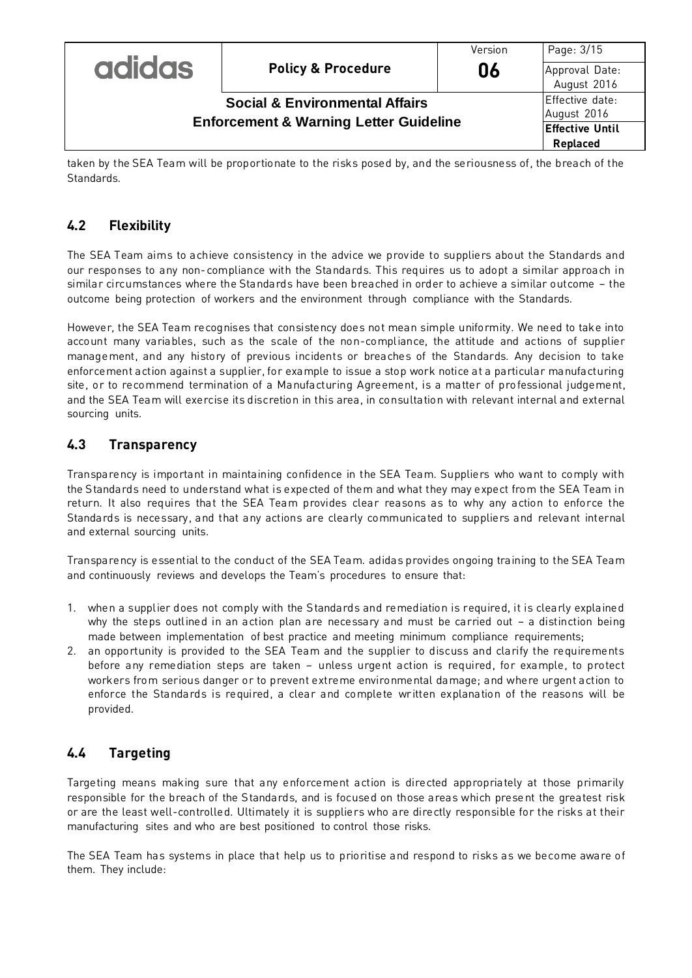|                                                   |                               | Version | Page: 3/15                     |
|---------------------------------------------------|-------------------------------|---------|--------------------------------|
| <b>adidas</b>                                     | <b>Policy &amp; Procedure</b> | 06      | Approval Date:<br>August 2016  |
| <b>Social &amp; Environmental Affairs</b>         |                               |         | Effective date:<br>August 2016 |
| <b>Enforcement &amp; Warning Letter Guideline</b> |                               |         | <b>Effective Until</b>         |
|                                                   |                               |         | Replaced                       |

taken by the SEA Team will be proportionate to the risks posed by, and the seriousness of, the breach of the Standards.

# **4.2 Flexibility**

The SEA Team aims to achieve consistency in the advice we provide to suppliers about the Standards and our responses to any non-compliance with the Standards. This requires us to adopt a similar approach in similar circumstances where the Standards have been breached in order to achieve a similar outcome – the outcome being protection of workers and the environment through compliance with the Standards.

However, the SEA Team recognises that consistency does not mean simple uniformity. We need to take into account many variables, such as the scale of the non-compliance, the attitude and actions of supplier management, and any history of previous incidents or breaches of the Standards. Any decision to take enforcement action against a supplier, for example to issue a stop work notice at a particular manufacturing site, or to recommend termination of a Manufacturing Agreement, is a matter of professional judgement, and the SEA Team will exercise its discretion in this area, in consultation with relevant internal and external sourcing units.

# **4.3 Transparency**

Transparency is important in maintaining confidence in the SEA Team. Suppliers who want to comply with the Standards need to understand what is expected of them and what they may expect from the SEA Team in return. It also requires that the SEA Team provides clear reasons as to why any action to enforce the Standards is necessary, and that any actions are clearly communicated to suppliers and relevant internal and external sourcing units.

Transparency is essential to the conduct of the SEA Team. adidas provides ongoing training to the SEA Team and continuously reviews and develops the Team's procedures to ensure that:

- 1. when a supplier does not comply with the Standards and remediation is required, it is clearly explained why the steps outlined in an action plan are necessary and must be carried out – a distinction being made between implementation of best practice and meeting minimum compliance requirements;
- 2. an opportunity is provided to the SEA Team and the supplier to discuss and clarify the requirements before any remediation steps are taken – unless urgent action is required, for example, to protect workers from serious danger or to prevent extreme environmental damage; and where urgent action to enforce the Standards is required, a clear and complete wr itten explanation of the reasons will be provided.

# **4.4 Targeting**

Targeting means making sure that any enforcement action is directed appropriately at those primarily responsible for the breach of the Standards, and is focused on those areas which present the greatest risk or are the least well-controlled. Ultimately it is suppliers who are directly responsible for the risks at their manufacturing sites and who are best positioned to control those risks.

The SEA Team has systems in place that help us to prioritise and respond to risks as we become aware of them. They include: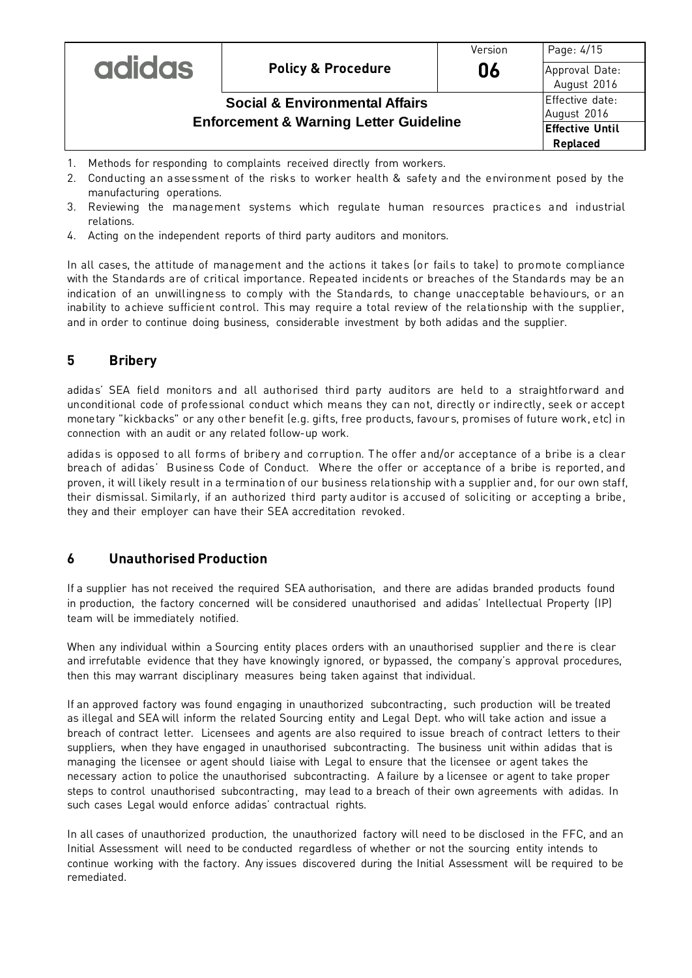|                                                   |                               | Version | Page: 4/15                         |
|---------------------------------------------------|-------------------------------|---------|------------------------------------|
| <b>adidas</b>                                     | <b>Policy &amp; Procedure</b> | 06      | Approval Date:<br>August 2016      |
| <b>Social &amp; Environmental Affairs</b>         |                               |         | Effective date:<br>August 2016     |
| <b>Enforcement &amp; Warning Letter Guideline</b> |                               |         | <b>Effective Until</b><br>Replaced |

- 1. Methods for responding to complaints received directly from workers.
- 2. Conducting an assessment of the risks to worker health & safety and the environment posed by the manufacturing operations.
- 3. Reviewing the management systems which regulate human resources practices and industrial relations.
- 4. Acting on the independent reports of third party auditors and monitors.

In all cases, the attitude of management and the actions it takes (or fails to take) to promote compliance with the Standards are of critical importance. Repeated incidents or breaches of the Standards may be an indication of an unwillingness to comply with the Standards, to change unacceptable behaviours, or an inability to achieve sufficient control. This may require a total review of the relationship with the supplier, and in order to continue doing business, considerable investment by both adidas and the supplier.

#### **5 Bribery**

adidas' SEA field monitors and all authorised third party auditors are held to a straightforward and unconditional code of professional conduct which means they can not, directly or indirectly, seek or accept monetary "kickbacks" or any other benefit (e.g. gifts, free products, favours, promises of future work, etc) in connection with an audit or any related follow-up work.

adidas is opposed to all forms of bribery and corruption. The offer and/or acceptance of a bribe is a clear breach of adidas' Business Code of Conduct. Where the offer or acceptance of a bribe is reported, and proven, it will likely result in a termination of our business relationship with a supplier and, for our own staff, their dismissal. Similarly, if an authorized third party auditor is accused of soliciting or accepting a bribe, they and their employer can have their SEA accreditation revoked.

#### **6 Unauthorised Production**

If a supplier has not received the required SEA authorisation, and there are adidas branded products found in production, the factory concerned will be considered unauthorised and adidas' Intellectual Property (IP) team will be immediately notified.

When any individual within a Sourcing entity places orders with an unauthorised supplier and there is clear and irrefutable evidence that they have knowingly ignored, or bypassed, the company's approval procedures, then this may warrant disciplinary measures being taken against that individual.

If an approved factory was found engaging in unauthorized subcontracting, such production will be treated as illegal and SEA will inform the related Sourcing entity and Legal Dept. who will take action and issue a breach of contract letter. Licensees and agents are also required to issue breach of contract letters to their suppliers, when they have engaged in unauthorised subcontracting. The business unit within adidas that is managing the licensee or agent should liaise with Legal to ensure that the licensee or agent takes the necessary action to police the unauthorised subcontracting. A failure by a licensee or agent to take proper steps to control unauthorised subcontracting, may lead to a breach of their own agreements with adidas. In such cases Legal would enforce adidas' contractual rights.

In all cases of unauthorized production, the unauthorized factory will need to be disclosed in the FFC, and an Initial Assessment will need to be conducted regardless of whether or not the sourcing entity intends to continue working with the factory. Any issues discovered during the Initial Assessment will be required to be remediated.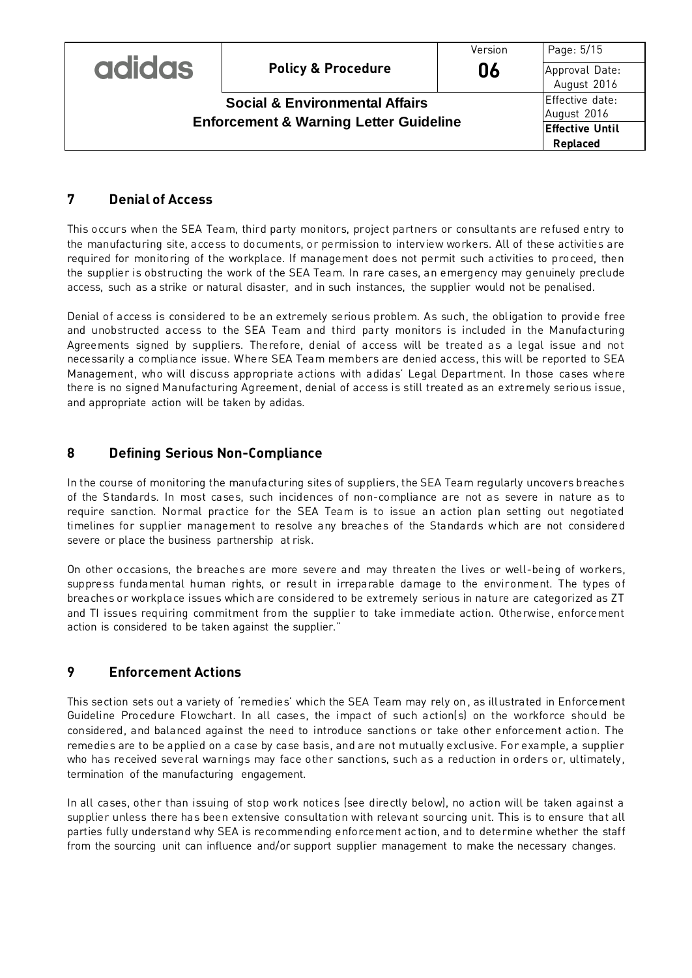|                                                   |                               | Version | Page: 5/15                                |
|---------------------------------------------------|-------------------------------|---------|-------------------------------------------|
| <b>adidas</b>                                     | <b>Policy &amp; Procedure</b> | 06      | Approval Date:<br>August 2016             |
| <b>Social &amp; Environmental Affairs</b>         |                               |         | Effective date:<br>August 2016            |
| <b>Enforcement &amp; Warning Letter Guideline</b> |                               |         | <b>Effective Until</b><br><b>Replaced</b> |

## **7 Denial of Access**

This occurs when the SEA Team, third party monitors, project partners or consultants are refused entry to the manufacturing site, access to documents, or permission to interview workers. All of these activities are required for monitoring of the workplace. If management does not permit such activities to proceed, then the supplier is obstructing the work of the SEA Team. In rare cases, an emergency may genuinely preclude access, such as a strike or natural disaster, and in such instances, the supplier would not be penalised.

Denial of access is considered to be an extremely serious problem. As such, the obligation to provide free and unobstructed access to the SEA Team and third party monitors is included in the Manufacturing Agreements signed by suppliers. Therefore, denial of access will be treated as a legal issue and not necessarily a compliance issue. Where SEA Team members are denied access, this will be reported to SEA Management, who will discuss appropriate actions with adidas' Legal Department. In those cases where there is no signed Manufacturing Agreement, denial of access is still treated as an extremely serious issue, and appropriate action will be taken by adidas.

## **8 Defining Serious Non-Compliance**

In the course of monitoring the manufacturing sites of suppliers, the SEA Team regularly uncovers breaches of the Standards. In most cases, such incidences of non-compliance are not as severe in nature as to require sanction. Normal practice for the SEA Team is to issue an action plan setting out negotiated timelines for supplier management to resolve any breaches of the Standards which are not considered severe or place the business partnership at risk.

On other occasions, the breaches are more severe and may threaten the lives or well-being of workers, suppress fundamental human rights, or result in irreparable damage to the environment. The types of breaches or workplace issues which are considered to be extremely serious in nature are categorized as ZT and TI issues requiring commitment from the supplier to take immediate action. Otherwise, enforcement action is considered to be taken against the supplier."

# **9 Enforcement Actions**

This section sets out a variety of 'remedies' which the SEA Team may rely on , as illustrated in Enforcement Guideline Procedure Flowchart. In all cases, the impact of such action(s) on the workforce should be considered, and balanced against the need to introduce sanctions or take other enforcement action. The remedies are to be applied on a case by case basis, and are not mutually exclusive. For example, a supplier who has received several warnings may face other sanctions, such as a reduction in orders or, ultimately, termination of the manufacturing engagement.

In all cases, other than issuing of stop work notices (see directly below), no action will be taken against a supplier unless there has been extensive consultation with relevant sourcing unit. This is to ensure that all parties fully understand why SEA is recommending enforcement ac tion, and to determine whether the staff from the sourcing unit can influence and/or support supplier management to make the necessary changes.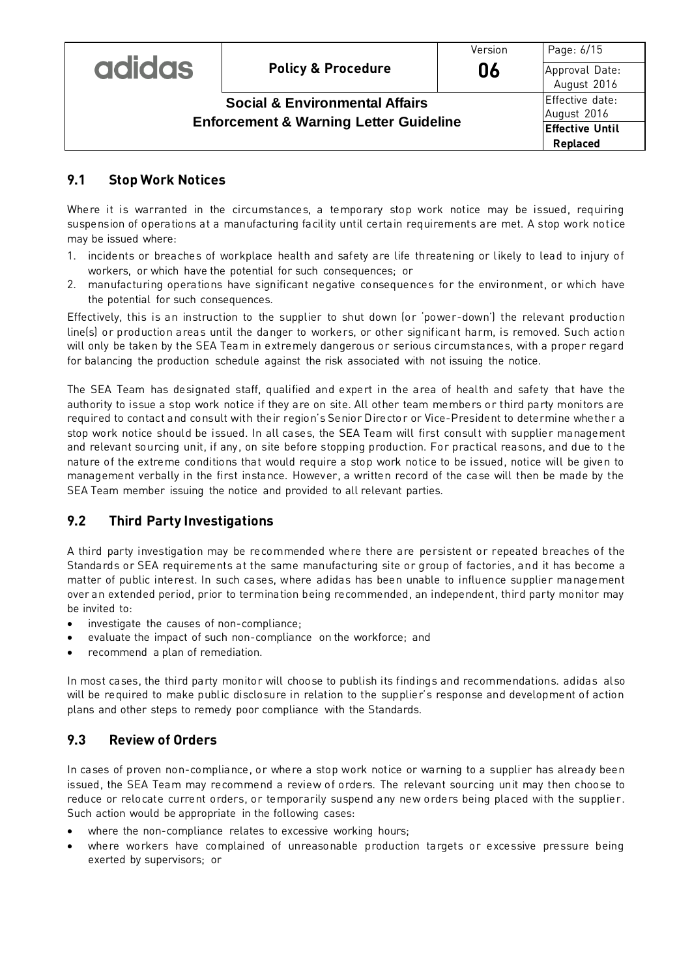|                                                   |                               | Version                | Page: 6/15                    |
|---------------------------------------------------|-------------------------------|------------------------|-------------------------------|
| <b>adidas</b>                                     | <b>Policy &amp; Procedure</b> | 06                     | Approval Date:<br>August 2016 |
| <b>Social &amp; Environmental Affairs</b>         |                               | Effective date:        |                               |
|                                                   |                               |                        | August 2016                   |
| <b>Enforcement &amp; Warning Letter Guideline</b> |                               | <b>Effective Until</b> |                               |
|                                                   |                               | Replaced               |                               |

## **9.1 Stop Work Notices**

Where it is warranted in the circumstances, a temporary stop work notice may be issued, requiring suspension of operations at a manufacturing facility until certain requirements are met. A stop work notice may be issued where:

- 1. incidents or breaches of workplace health and safety are life threatening or likely to lead to injury of workers, or which have the potential for such consequences; or
- 2. manufacturing operations have significant negative consequences for the environment, or which have the potential for such consequences.

Effectively, this is an instruction to the supplier to shut down (or 'power-down') the relevant production line(s) or production areas until the danger to workers, or other significant harm, is removed. Such action will only be taken by the SEA Team in extremely dangerous or serious circumstances, with a proper regard for balancing the production schedule against the risk associated with not issuing the notice.

The SEA Team has designated staff, qualified and expert in the area of health and safety that have the authority to issue a stop work notice if they are on site. All other team members or third party monitors are required to contact and consult with their region's Senior Director or Vice-President to determine whether a stop work notice should be issued. In all cases, the SEA Team will first consult with supplier management and relevant sourcing unit, if any, on site before stopping production. For practical reasons, and due to t he nature of the extreme conditions that would require a stop work notice to be issued, notice will be given to management verbally in the first instance. However, a written record of the case will then be made by the SEA Team member issuing the notice and provided to all relevant parties.

# **9.2 Third Party Investigations**

A third party investigation may be recommended where there are persistent or repeated breaches of the Standards or SEA requirements at the same manufacturing site or group of factories, and it has become a matter of public interest. In such cases, where adidas has been unable to influence supplier management over an extended period, prior to termination being recommended, an independent, third party monitor may be invited to:

- investigate the causes of non-compliance;
- evaluate the impact of such non-compliance on the workforce; and
- recommend a plan of remediation.

In most cases, the third party monitor will choose to publish its findings and recommendations. adidas also will be required to make public disclosure in relation to the supplier's response and development of action plans and other steps to remedy poor compliance with the Standards.

#### **9.3 Review of Orders**

In cases of proven non-compliance, or where a stop work notice or warning to a supplier has already been issued, the SEA Team may recommend a review of orders. The relevant sourcing unit may then choose to reduce or relocate current orders, or temporarily suspend any new orders being placed with the supplier. Such action would be appropriate in the following cases:

- where the non-compliance relates to excessive working hours;
- where workers have complained of unreasonable production targets or excessive pressure being exerted by supervisors; or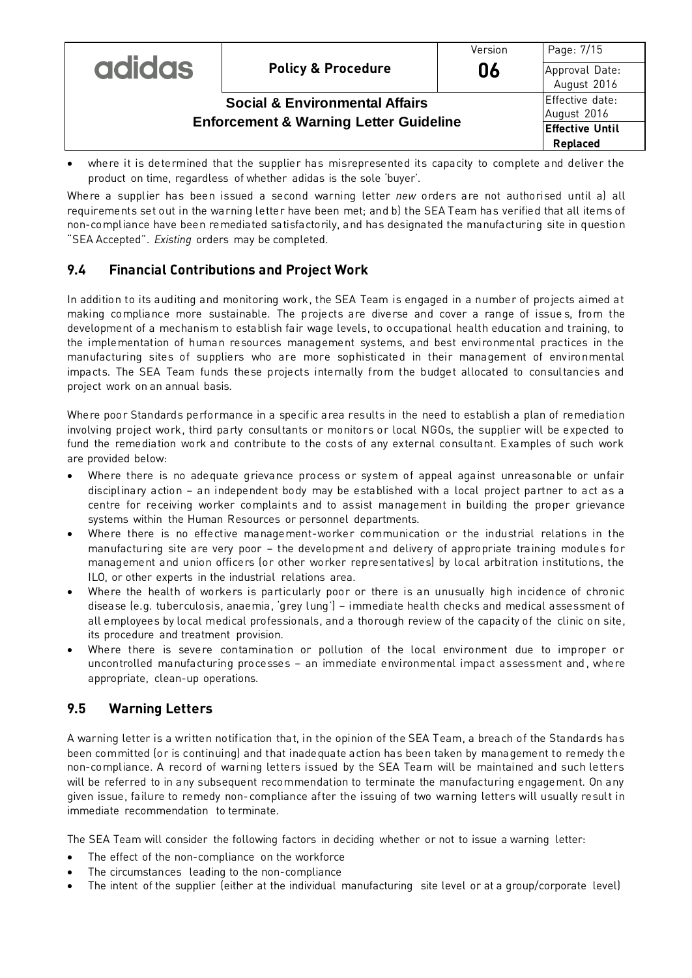|                                                   |                                           | Version | Page: 7/15                         |
|---------------------------------------------------|-------------------------------------------|---------|------------------------------------|
| <b>adidas</b>                                     | <b>Policy &amp; Procedure</b>             | 06      | Approval Date:<br>August 2016      |
|                                                   | <b>Social &amp; Environmental Affairs</b> |         | Effective date:<br>August 2016     |
| <b>Enforcement &amp; Warning Letter Guideline</b> |                                           |         | <b>Effective Until</b><br>Replaced |

 where it is determined that the supplier has misrepresented its capacity to complete and deliver the product on time, regardless of whether adidas is the sole 'buyer'.

Where a supplier has been issued a second warning letter *new* orders are not authorised until a) all requirements set out in the warning letter have been met; and b) the SEA Team has verified that all items of non-compliance have been remediated satisfactorily, and has designated the manufacturing site in question "SEA Accepted". *Existing* orders may be completed.

# **9.4 Financial Contributions and Project Work**

In addition to its auditing and monitoring work, the SEA Team is engaged in a number of projects aimed at making compliance more sustainable. The projects are diverse and cover a range of issue s, from the development of a mechanism to establish fair wage levels, to occupational health education and training, to the implementation of human resources management systems, and best environmental practices in the manufacturing sites of suppliers who are more sophisticated in their management of environmental impacts. The SEA Team funds these projects internally from the budget allocated to consultancies and project work on an annual basis.

Where poor Standards performance in a specific area results in the need to establish a plan of remediation involving project work, third party consultants or monitors or local NGOs, the supplier will be expected to fund the remediation work and contribute to the costs of any external consultant. Examples of such work are provided below:

- Where there is no adequate grievance process or system of appeal against unreasonable or unfair disciplinary action – an independent body may be established with a local project partner to act as a centre for receiving worker complaints and to assist management in building the proper grievance systems within the Human Resources or personnel departments.
- Where there is no effective management-worker communication or the industrial relations in the manufacturing site are very poor – the development and delivery of appropriate training modules for management and union officers (or other worker representatives) by local arbitration institutions, the ILO, or other experts in the industrial relations area.
- Where the health of workers is particularly poor or there is an unusually high incidence of chronic disease (e.g. tuberculosis, anaemia, 'grey lung') – immediate health checks and medical assessment of all employees by local medical professionals, and a thorough review of the capacity of the clinic on site, its procedure and treatment provision.
- Where there is severe contamination or pollution of the local environment due to improper or uncontrolled manufacturing processes – an immediate environmental impact assessment and, where appropriate, clean-up operations.

# **9.5 Warning Letters**

A warning letter is a written notification that, in the opinion of the SEA Team, a breach of the Standards has been committed (or is continuing) and that inadequate action has been taken by management to remedy the non-compliance. A record of warning letters issued by the SEA Team will be maintained and such letters will be referred to in any subsequent recommendation to terminate the manufacturing engagement. On any given issue, failure to remedy non-compliance after the issuing of two warning letters will usually result in immediate recommendation to terminate.

The SEA Team will consider the following factors in deciding whether or not to issue a warning letter:

- The effect of the non-compliance on the workforce
- The circumstances leading to the non-compliance
- The intent of the supplier (either at the individual manufacturing site level or at a group/corporate level)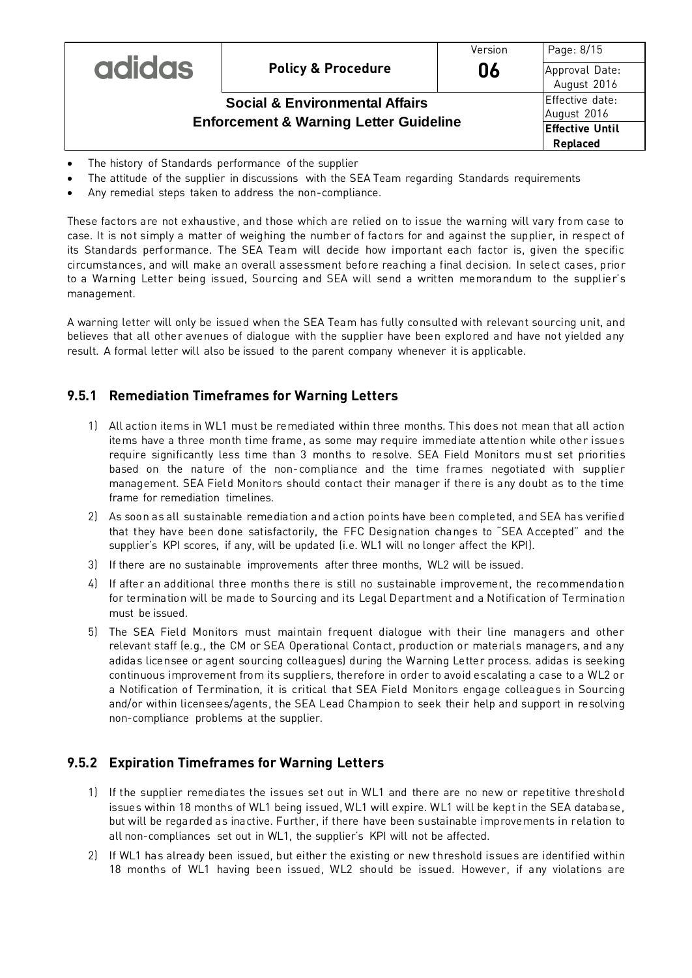|                                                   |                                           | Version | Page: 8/15                         |
|---------------------------------------------------|-------------------------------------------|---------|------------------------------------|
| <b>adidas</b>                                     | <b>Policy &amp; Procedure</b>             | 06      | Approval Date:<br>August 2016      |
|                                                   | <b>Social &amp; Environmental Affairs</b> |         | Effective date:<br>August 2016     |
| <b>Enforcement &amp; Warning Letter Guideline</b> |                                           |         | <b>Effective Until</b><br>Replaced |

- The history of Standards performance of the supplier
- The attitude of the supplier in discussions with the SEA Team regarding Standards requirements
- Any remedial steps taken to address the non-compliance.

These factors are not exhaustive, and those which are relied on to issue the warning will vary from case to case. It is not simply a matter of weighing the number of factors for and against the supplier, in respect of its Standards performance. The SEA Team will decide how important each factor is, given the specific circumstances, and will make an overall assessment before reaching a final decision. In select cases, prior to a Warning Letter being issued, Sourcing and SEA will send a written memorandum to the supplier's management.

A warning letter will only be issued when the SEA Team has fully consulted with relevant sourcing unit, and believes that all other avenues of dialogue with the supplier have been explored and have not yielded any result. A formal letter will also be issued to the parent company whenever it is applicable.

#### **9.5.1 Remediation Timeframes for Warning Letters**

- 1) All action items in WL1 must be remediated within three months. This does not mean that all action items have a three month time frame, as some may require immediate attention while other issues require significantly less time than 3 months to resolve. SEA Field Monitors mu st set priorities based on the nature of the non-compliance and the time frames negotiated with supplier management. SEA Field Monitors should contact their manager if there is any doubt as to the time frame for remediation timelines.
- 2) As soon as all sustainable remediation and action points have been completed, and SEA has verified that they have been done satisfactorily, the FFC Designation changes to "SEA Accepted" and the supplier's KPI scores, if any, will be updated (i.e. WL1 will no longer affect the KPI).
- 3) If there are no sustainable improvements after three months, WL2 will be issued.
- 4) If after an additional three months there is still no sustainable improvement, the recommendation for termination will be made to Sourcing and its Legal Department and a Notification of Termination must be issued.
- 5) The SEA Field Monitors must maintain frequent dialogue with their line managers and other relevant staff (e.g., the CM or SEA Operational Contact, production or materials managers, and any adidas licensee or agent sourcing colleagues) during the Warning Letter process. adidas is seeking continuous improvement from its suppliers, therefore in order to avoid escalating a case to a WL2 or a Notification of Termination, it is critical that SEA Field Monitors engage colleagues in Sourcing and/or within licensees/agents, the SEA Lead Champion to seek their help and support in resolving non-compliance problems at the supplier.

#### **9.5.2 Expiration Timeframes for Warning Letters**

- 1) If the supplier remediates the issues set out in WL1 and there are no new or repetitive threshold issues within 18 months of WL1 being issued, WL1 will expire. WL1 will be kept in the SEA database, but will be regarded as inactive. Further, if there have been sustainable improvements in relation to all non-compliances set out in WL1, the supplier's KPI will not be affected.
- 2) If WL1 has already been issued, but either the existing or new threshold issues are identified within 18 months of WL1 having been issued, WL2 should be issued. However, if any violations are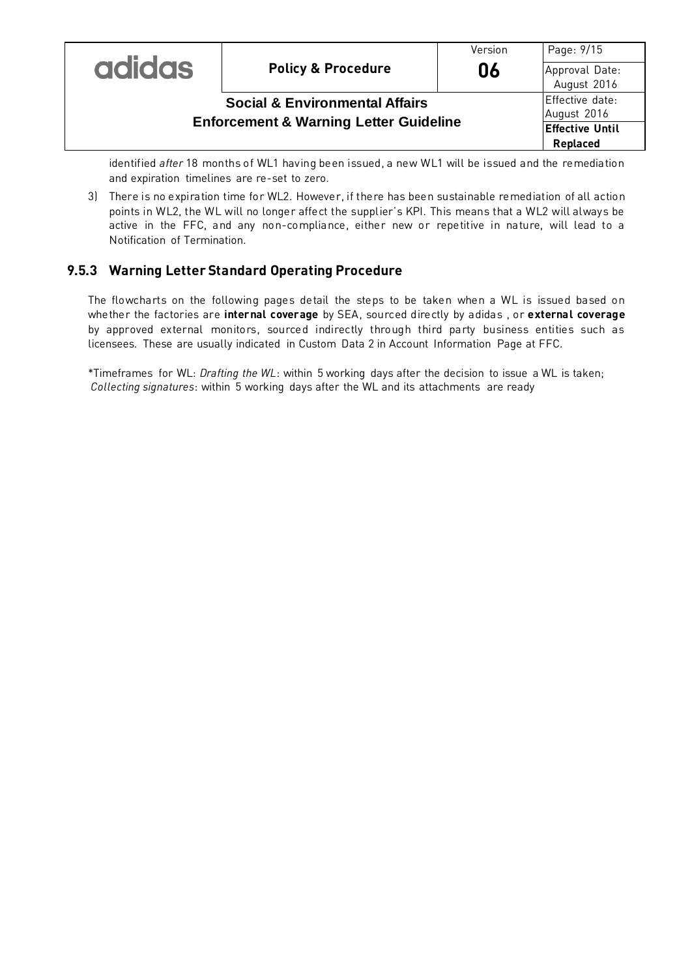| <b>adidas</b> | <b>Policy &amp; Procedure</b>                                                                  | Version<br>06 | Page: 9/15<br>Approval Date:<br>August 2016                          |
|---------------|------------------------------------------------------------------------------------------------|---------------|----------------------------------------------------------------------|
|               | <b>Social &amp; Environmental Affairs</b><br><b>Enforcement &amp; Warning Letter Guideline</b> |               | Effective date:<br>August 2016<br><b>Effective Until</b><br>Replaced |

identified *after* 18 months of WL1 having been issued, a new WL1 will be issued and the remediation and expiration timelines are re-set to zero.

3) There is no expiration time for WL2. However, if there has been sustainable remediation of all action points in WL2, the WL will no longer affect the supplier's KPI. This means that a WL2 will always be active in the FFC, and any non-compliance, either new or repetitive in nature, will lead to a Notification of Termination.

#### **9.5.3 Warning Letter Standard Operating Procedure**

The flowcharts on the following pages detail the steps to be taken when a WL is issued based on whether the factories are **internal coverage** by SEA, sourced directly by adidas , or **external coverage** by approved external monitors, sourced indirectly through third party business entities such as licensees. These are usually indicated in Custom Data 2 in Account Information Page at FFC.

\*Timeframes for WL: *Drafting the WL*: within 5 working days after the decision to issue a WL is taken; *Collecting signatures*: within 5 working days after the WL and its attachments are ready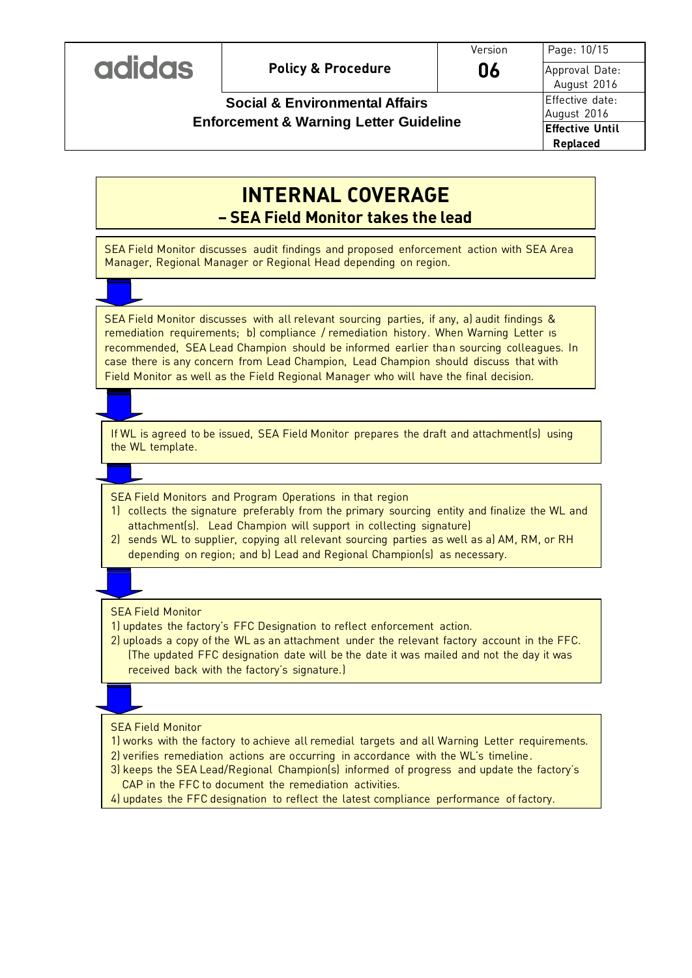| <b>ICIO O</b> |
|---------------|
|---------------|

# **Social & Environmental Affairs Enforcement & Warning Letter Guideline**

Page: 10/15 Approval Date: August 2016 Effective date: August 2016 **Effective Until Replaced**

# **INTERNAL COVERAGE – SEA Field Monitor takes the lead**

SEA Field Monitor discusses audit findings and proposed enforcement action with SEA Area Manager, Regional Manager or Regional Head depending on region.

SEA Field Monitor discusses with all relevant sourcing parties, if any, a) audit findings & remediation requirements; b) compliance / remediation history. When Warning Letter ıs recommended, SEA Lead Champion should be informed earlier than sourcing colleagues. In case there is any concern from Lead Champion, Lead Champion should discuss that with Field Monitor as well as the Field Regional Manager who will have the final decision.

If WL is agreed to be issued, SEA Field Monitor prepares the draft and attachment(s) using the WL template.

SEA Field Monitors and Program Operations in that region

- 1) collects the signature preferably from the primary sourcing entity and finalize the WL and attachment(s). Lead Champion will support in collecting signature)
- 2) sends WL to supplier, copying all relevant sourcing parties as well as a) AM, RM, or RH depending on region; and b) Lead and Regional Champion(s) as necessary.

SEA Field Monitor

1) updates the factory's FFC Designation to reflect enforcement action.

2) uploads a copy of the WL as an attachment under the relevant factory account in the FFC. (The updated FFC designation date will be the date it was mailed and not the day it was received back with the factory's signature.)

#### SEA Field Monitor

- 1) works with the factory to achieve all remedial targets and all Warning Letter requirements.
- 2) verifies remediation actions are occurring in accordance with the WL's timeline.
- 3) keeps the SEA Lead/Regional Champion(s) informed of progress and update the factory's CAP in the FFC to document the remediation activities.
- 4) updates the FFC designation to reflect the latest compliance performance of factory.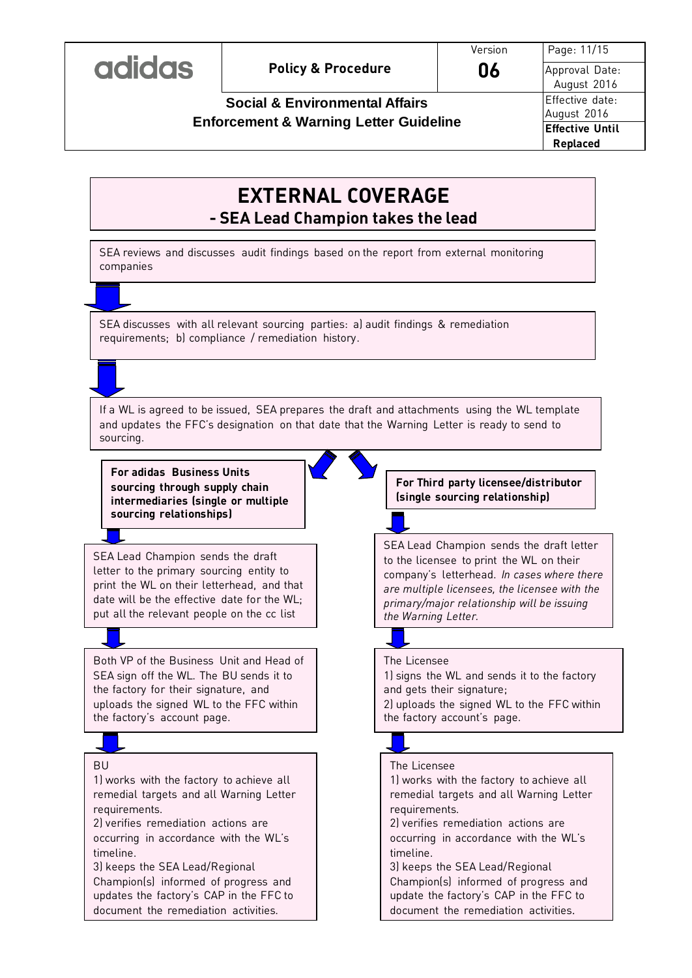# **EXTERNAL COVERAGE - SEA Lead Champion takes the lead**

SEA reviews and discusses audit findings based on the report from external monitoring companies

SEA discusses with all relevant sourcing parties: a) audit findings & remediation requirements; b) compliance / remediation history.

If a WL is agreed to be issued, SEA prepares the draft and attachments using the WL template and updates the FFC's designation on that date that the Warning Letter is ready to send to sourcing.

**For adidas Business Units sourcing through supply chain intermediaries (single or multiple sourcing relationships)**

SEA Lead Champion sends the draft letter to the primary sourcing entity to print the WL on their letterhead, and that date will be the effective date for the WL; put all the relevant people on the cc list

Both VP of the Business Unit and Head of SEA sign off the WL. The BU sends it to the factory for their signature, and uploads the signed WL to the FFC within the factory's account page.

#### BU

1) works with the factory to achieve all remedial targets and all Warning Letter requirements.

2) verifies remediation actions are occurring in accordance with the WL's timeline.

3) keeps the SEA Lead/Regional Champion(s) informed of progress and updates the factory's CAP in the FFC to document the remediation activities.

**For Third party licensee/distributor (single sourcing relationship)**

SEA Lead Champion sends the draft letter to the licensee to print the WL on their company's letterhead. *In cases where there are multiple licensees, the licensee with the primary/major relationship will be issuing the Warning Letter.*

# The Licensee

1) signs the WL and sends it to the factory and gets their signature; 2) uploads the signed WL to the FFC within the factory account's page.



#### The Licensee

1) works with the factory to achieve all remedial targets and all Warning Letter requirements. 2) verifies remediation actions are occurring in accordance with the WL's timeline. 3) keeps the SEA Lead/Regional

Champion(s) informed of progress and update the factory's CAP in the FFC to document the remediation activities.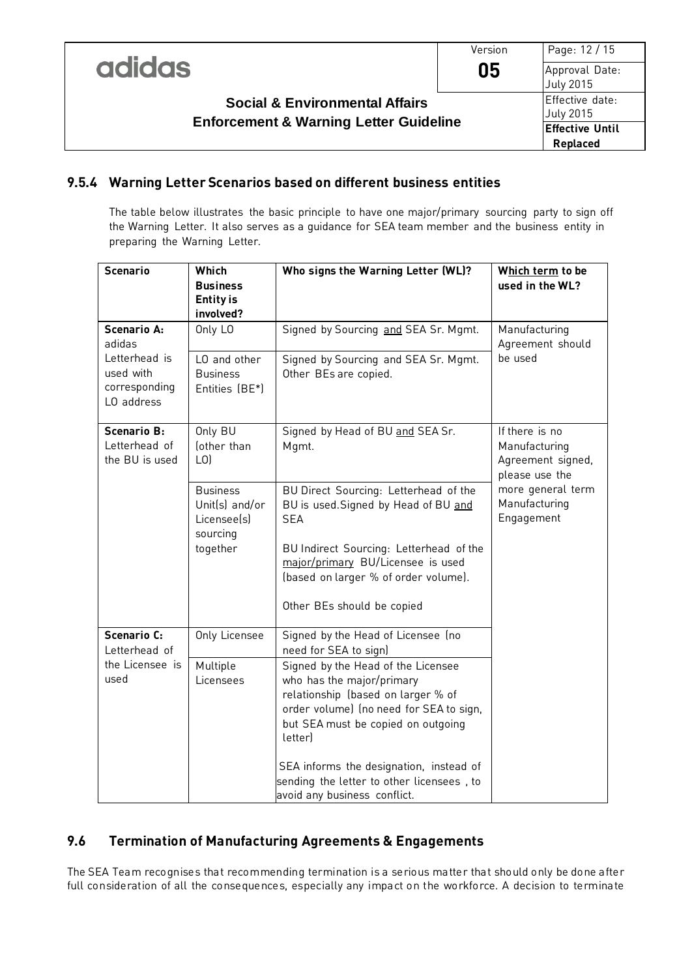|                                                   | Version | Page: 12 / 15                       |
|---------------------------------------------------|---------|-------------------------------------|
| <b>adidas</b>                                     | 05      | Approval Date:<br>July 2015         |
| <b>Social &amp; Environmental Affairs</b>         |         | Effective date:<br><b>July 2015</b> |
| <b>Enforcement &amp; Warning Letter Guideline</b> |         | <b>Effective Until</b><br>Replaced  |

### **9.5.4 Warning Letter Scenarios based on different business entities**

The table below illustrates the basic principle to have one major/primary sourcing party to sign off the Warning Letter. It also serves as a guidance for SEA team member and the business entity in preparing the Warning Letter.

| <b>Scenario</b>                                                                           | Which<br><b>Business</b><br><b>Entity is</b><br>involved?                | Who signs the Warning Letter (WL)?                                                                                                                                                                                                                                                                                                                                                       | Which term to be<br>used in the WL?                                                                                        |
|-------------------------------------------------------------------------------------------|--------------------------------------------------------------------------|------------------------------------------------------------------------------------------------------------------------------------------------------------------------------------------------------------------------------------------------------------------------------------------------------------------------------------------------------------------------------------------|----------------------------------------------------------------------------------------------------------------------------|
| <b>Scenario A:</b><br>adidas<br>Letterhead is<br>used with<br>corresponding<br>LO address | Only LO<br>LO and other<br><b>Business</b><br>Entities (BE*)             | Signed by Sourcing and SEA Sr. Mgmt.<br>Signed by Sourcing and SEA Sr. Mgmt.<br>Other BEs are copied.                                                                                                                                                                                                                                                                                    | Manufacturing<br>Agreement should<br>be used                                                                               |
| <b>Scenario B:</b><br>Letterhead of<br>the BU is used                                     | Only BU<br>fother than<br>L <sub>0</sub>                                 | Signed by Head of BU and SEA Sr.<br>Mgmt.                                                                                                                                                                                                                                                                                                                                                | If there is no<br>Manufacturing<br>Agreement signed,<br>please use the<br>more general term<br>Manufacturing<br>Engagement |
|                                                                                           | <b>Business</b><br>Unit(s) and/or<br>Licensee(s)<br>sourcing<br>together | BU Direct Sourcing: Letterhead of the<br>BU is used. Signed by Head of BU and<br><b>SEA</b><br>BU Indirect Sourcing: Letterhead of the<br>major/primary BU/Licensee is used<br>(based on larger % of order volume).<br>Other BEs should be copied                                                                                                                                        |                                                                                                                            |
| <b>Scenario C:</b><br>Letterhead of<br>the Licensee is<br>used                            | Only Licensee<br>Multiple<br>Licensees                                   | Signed by the Head of Licensee (no<br>need for SEA to sign)<br>Signed by the Head of the Licensee<br>who has the major/primary<br>relationship (based on larger % of<br>order volume) (no need for SEA to sign,<br>but SEA must be copied on outgoing<br>letter)<br>SEA informs the designation, instead of<br>sending the letter to other licensees, to<br>avoid any business conflict. |                                                                                                                            |

# **9.6 Termination of Manufacturing Agreements & Engagements**

The SEA Team recognises that recommending termination is a serious matter that should only be done after full consideration of all the consequences, especially any impact on the workforce. A decision to terminate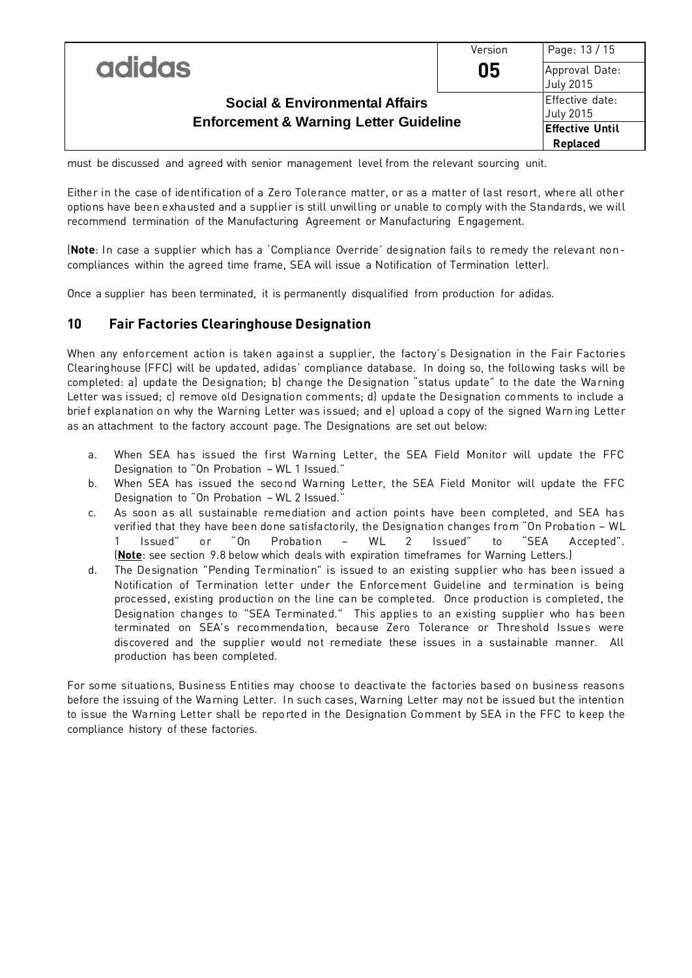|                                                   | Version | Page: 13 / 15                |
|---------------------------------------------------|---------|------------------------------|
| <b>adidas</b>                                     | 05      | Approval Date:<br>July 2015  |
| <b>Social &amp; Environmental Affairs</b>         |         | Effective date:<br>July 2015 |
| <b>Enforcement &amp; Warning Letter Guideline</b> |         | <b>Effective Until</b>       |
|                                                   |         | Replaced                     |

must be discussed and agreed with senior management level from the relevant sourcing unit.

Either in the case of identification of a Zero Tolerance matter, or as a matter of last resort, where all other options have been exhausted and a supplier is still unwilling or unable to comply with the Standards, we will recommend termination of the Manufacturing Agreement or Manufacturing Engagement.

(**Note**: In case a supplier which has a 'Compliance Override' designation fails to remedy the relevant noncompliances within the agreed time frame, SEA will issue a Notification of Termination letter).

Once a supplier has been terminated, it is permanently disqualified from production for adidas.

#### **10 Fair Factories Clearinghouse Designation**

When any enforcement action is taken against a supplier, the factory's Designation in the Fair Factories Clearinghouse (FFC) will be updated, adidas' compliance database. In doing so, the following tasks will be completed: a) update the Designation; b) change the Designation "status update" to the date the Warning Letter was issued; c) remove old Designation comments; d) update the Designation comments to include a brief explanation on why the Warning Letter was issued; and e) upload a copy of the signed Warn ing Letter as an attachment to the factory account page. The Designations are set out below:

- a. When SEA has issued the first Warning Letter, the SEA Field Monitor will update the FFC Designation to "On Probation – WL 1 Issued."
- b. When SEA has issued the second Warning Letter, the SEA Field Monitor will update the FFC Designation to "On Probation – WL 2 Issued."
- c. As soon as all sustainable remediation and action points have been completed, and SEA has verified that they have been done satisfactorily, the Designation changes from "On Probation – WL 1 Issued" or "On Probation – WL 2 Issued" to "SEA Accepted". (**Note**: see section 9.8 below which deals with expiration timeframes for Warning Letters.)
- d. The Designation "Pending Termination" is issued to an existing supplier who has been issued a Notification of Termination letter under the Enforcement Guideline and termination is being processed, existing production on the line can be completed. Once production is completed, the Designation changes to "SEA Terminated." This applies to an existing supplier who has been terminated on SEA's recommendation, because Zero Tolerance or Threshold Issues were discovered and the supplier would not remediate these issues in a sustainable manner. All production has been completed.

For some situations, Business Entities may choose to deactivate the factories based on business reasons before the issuing of the Warning Letter. In such cases, Warning Letter may not be issued but the intention to issue the Warning Letter shall be reported in the Designation Comment by SEA in the FFC to keep the compliance history of these factories.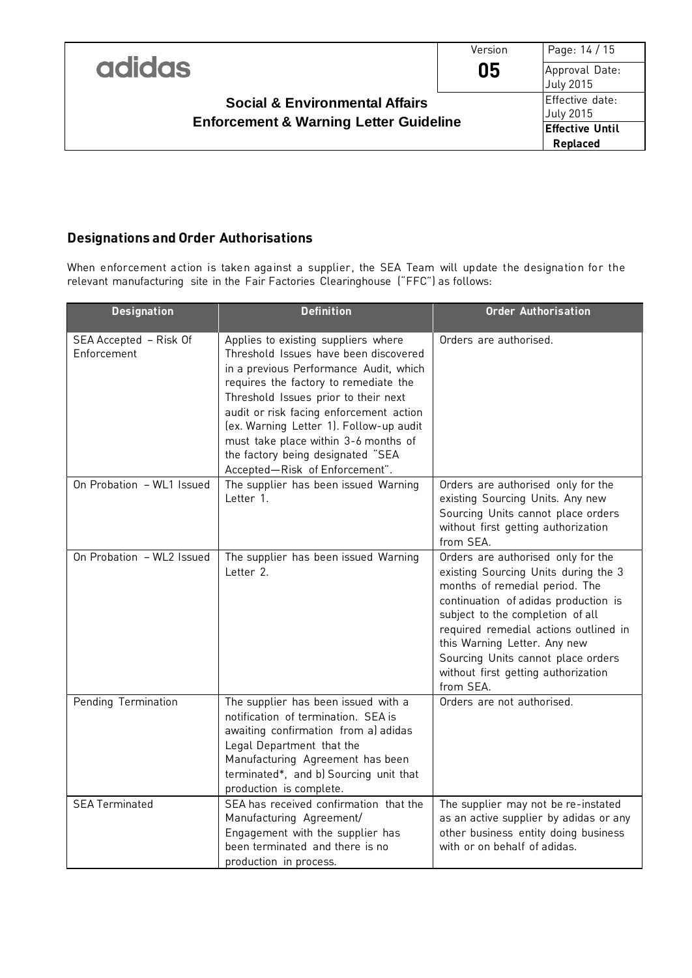|                                                   | Version | Page: 14 / 15                |
|---------------------------------------------------|---------|------------------------------|
| <b>adidas</b>                                     | 05      | Approval Date:<br>July 2015  |
| <b>Social &amp; Environmental Affairs</b>         |         | Effective date:<br>July 2015 |
| <b>Enforcement &amp; Warning Letter Guideline</b> |         | <b>Effective Until</b>       |
|                                                   |         | Replaced                     |

# **Designations and Order Authorisations**

When enforcement action is taken against a supplier, the SEA Team will update the designation for the relevant manufacturing site in the Fair Factories Clearinghouse ("FFC") as follows:

| <b>Designation</b>                    | <b>Definition</b>                                                                                                                                                                                                                                                                                                                                                                                            | <b>Order Authorisation</b>                                                                                                                                                                                                                                                                                                                                  |  |
|---------------------------------------|--------------------------------------------------------------------------------------------------------------------------------------------------------------------------------------------------------------------------------------------------------------------------------------------------------------------------------------------------------------------------------------------------------------|-------------------------------------------------------------------------------------------------------------------------------------------------------------------------------------------------------------------------------------------------------------------------------------------------------------------------------------------------------------|--|
| SEA Accepted - Risk Of<br>Enforcement | Applies to existing suppliers where<br>Threshold Issues have been discovered<br>in a previous Performance Audit, which<br>requires the factory to remediate the<br>Threshold Issues prior to their next<br>audit or risk facing enforcement action<br>(ex. Warning Letter 1). Follow-up audit<br>must take place within 3-6 months of<br>the factory being designated "SEA<br>Accepted-Risk of Enforcement". | Orders are authorised.                                                                                                                                                                                                                                                                                                                                      |  |
| On Probation - WL1 Issued             | The supplier has been issued Warning<br>Letter 1.                                                                                                                                                                                                                                                                                                                                                            | Orders are authorised only for the<br>existing Sourcing Units. Any new<br>Sourcing Units cannot place orders<br>without first getting authorization<br>from SEA.                                                                                                                                                                                            |  |
| On Probation - WL2 Issued             | The supplier has been issued Warning<br>Letter 2.                                                                                                                                                                                                                                                                                                                                                            | Orders are authorised only for the<br>existing Sourcing Units during the 3<br>months of remedial period. The<br>continuation of adidas production is<br>subject to the completion of all<br>required remedial actions outlined in<br>this Warning Letter. Any new<br>Sourcing Units cannot place orders<br>without first getting authorization<br>from SEA. |  |
| Pending Termination                   | The supplier has been issued with a<br>notification of termination. SEA is<br>awaiting confirmation from a) adidas<br>Legal Department that the<br>Manufacturing Agreement has been<br>terminated*, and b) Sourcing unit that<br>production is complete.                                                                                                                                                     | Orders are not authorised.                                                                                                                                                                                                                                                                                                                                  |  |
| <b>SEA Terminated</b>                 | SEA has received confirmation that the<br>Manufacturing Agreement/<br>Engagement with the supplier has<br>been terminated and there is no<br>production in process.                                                                                                                                                                                                                                          | The supplier may not be re-instated<br>as an active supplier by adidas or any<br>other business entity doing business<br>with or on behalf of adidas.                                                                                                                                                                                                       |  |